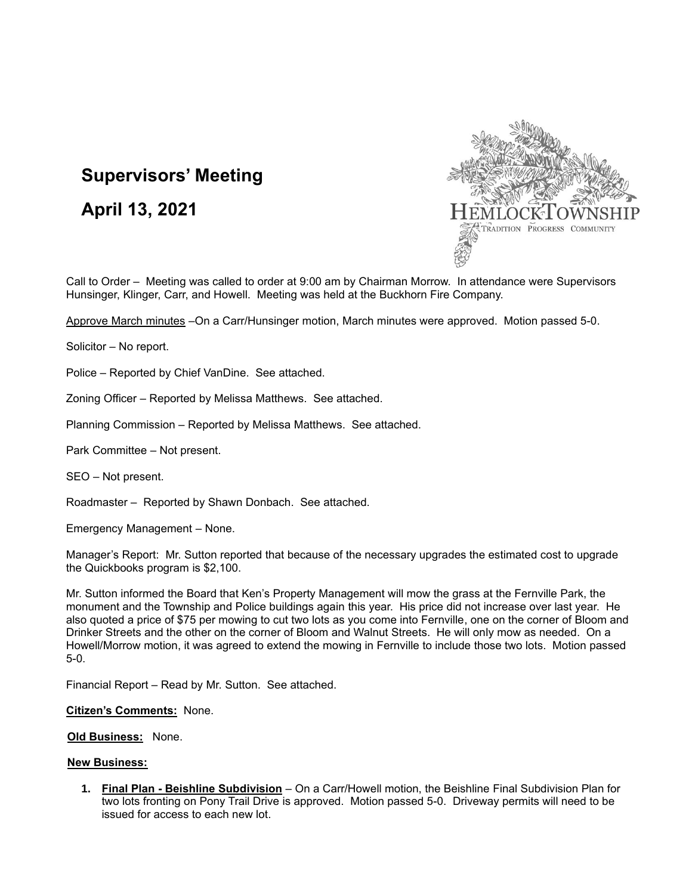## **Supervisors' Meeting**

## **April 13, 2021**



Call to Order – Meeting was called to order at 9:00 am by Chairman Morrow. In attendance were Supervisors Hunsinger, Klinger, Carr, and Howell. Meeting was held at the Buckhorn Fire Company.

Approve March minutes –On a Carr/Hunsinger motion, March minutes were approved. Motion passed 5-0.

Solicitor – No report.

Police – Reported by Chief VanDine. See attached.

Zoning Officer – Reported by Melissa Matthews. See attached.

Planning Commission – Reported by Melissa Matthews. See attached.

Park Committee – Not present.

SEO – Not present.

Roadmaster – Reported by Shawn Donbach. See attached.

Emergency Management – None.

Manager's Report: Mr. Sutton reported that because of the necessary upgrades the estimated cost to upgrade the Quickbooks program is \$2,100.

Mr. Sutton informed the Board that Ken's Property Management will mow the grass at the Fernville Park, the monument and the Township and Police buildings again this year. His price did not increase over last year. He also quoted a price of \$75 per mowing to cut two lots as you come into Fernville, one on the corner of Bloom and Drinker Streets and the other on the corner of Bloom and Walnut Streets. He will only mow as needed. On a Howell/Morrow motion, it was agreed to extend the mowing in Fernville to include those two lots. Motion passed 5-0.

Financial Report – Read by Mr. Sutton. See attached.

**Citizen's Comments:** None.

 **Old Business:** None.

## **New Business:**

**1. Final Plan - Beishline Subdivision** – On a Carr/Howell motion, the Beishline Final Subdivision Plan for two lots fronting on Pony Trail Drive is approved. Motion passed 5-0. Driveway permits will need to be issued for access to each new lot.